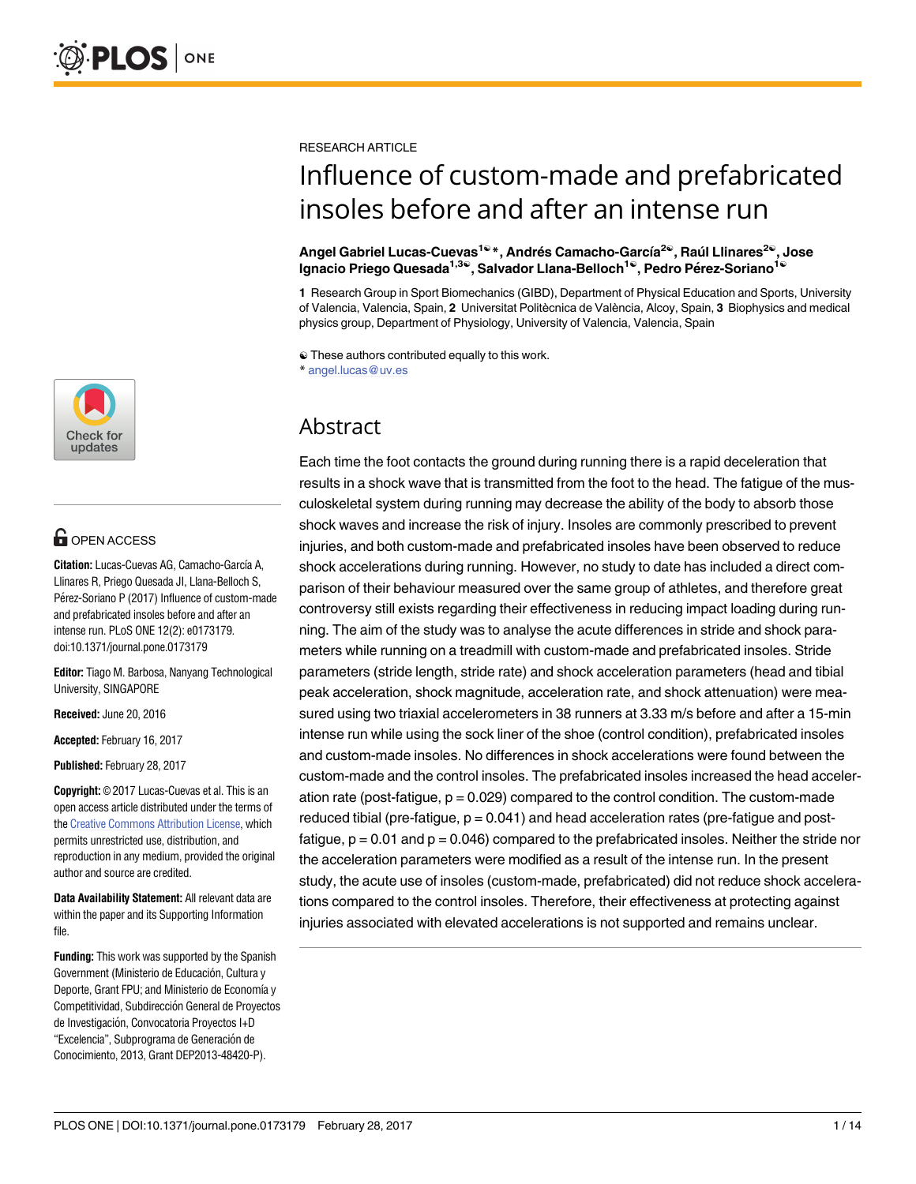

## **G** OPEN ACCESS

**Citation:** Lucas-Cuevas AG, Camacho-García A, Llinares R, Priego Quesada JI, Llana-Belloch S, Pérez-Soriano P (2017) Influence of custom-made and prefabricated insoles before and after an intense run. PLoS ONE 12(2): e0173179. doi:10.1371/journal.pone.0173179

**Editor:** Tiago M. Barbosa, Nanyang Technological University, SINGAPORE

**Received:** June 20, 2016

**Accepted:** February 16, 2017

**Published:** February 28, 2017

**Copyright:** © 2017 Lucas-Cuevas et al. This is an open access article distributed under the terms of the [Creative Commons Attribution License,](http://creativecommons.org/licenses/by/4.0/) which permits unrestricted use, distribution, and reproduction in any medium, provided the original author and source are credited.

**Data Availability Statement:** All relevant data are within the paper and its Supporting Information file.

**Funding:** This work was supported by the Spanish Government (Ministerio de Educación, Cultura y Deporte, Grant FPU; and Ministerio de Economía y Competitividad, Subdirección General de Proyectos de Investigación, Convocatoria Provectos I+D "Excelencia", Subprograma de Generación de Conocimiento, 2013, Grant DEP2013-48420-P).

RESEARCH ARTICLE

# Influence of custom-made and prefabricated insoles before and after an intense run

#### **Angel Gabriel Lucas-Cuevas1**☯ **\*, Andre´s Camacho-Garc´ıa 2**☯ **, Rau´l Llinares2**☯ **, Jose**  $I$ **ignacio Priego Quesada<sup>1,3©</sup>, Salvador Llana-Belloch<sup>1©</sup>, Pedro Pérez-Soriano<sup>1©</sup>**

**1** Research Group in Sport Biomechanics (GIBD), Department of Physical Education and Sports, University of Valencia, Valencia, Spain, **2** Universitat Politècnica de València, Alcoy, Spain, **3** Biophysics and medical physics group, Department of Physiology, University of Valencia, Valencia, Spain

☯ These authors contributed equally to this work. \* angel.lucas@uv.es

## Abstract

Each time the foot contacts the ground during running there is a rapid deceleration that results in a shock wave that is transmitted from the foot to the head. The fatigue of the musculoskeletal system during running may decrease the ability of the body to absorb those shock waves and increase the risk of injury. Insoles are commonly prescribed to prevent injuries, and both custom-made and prefabricated insoles have been observed to reduce shock accelerations during running. However, no study to date has included a direct comparison of their behaviour measured over the same group of athletes, and therefore great controversy still exists regarding their effectiveness in reducing impact loading during running. The aim of the study was to analyse the acute differences in stride and shock parameters while running on a treadmill with custom-made and prefabricated insoles. Stride parameters (stride length, stride rate) and shock acceleration parameters (head and tibial peak acceleration, shock magnitude, acceleration rate, and shock attenuation) were measured using two triaxial accelerometers in 38 runners at 3.33 m/s before and after a 15-min intense run while using the sock liner of the shoe (control condition), prefabricated insoles and custom-made insoles. No differences in shock accelerations were found between the custom-made and the control insoles. The prefabricated insoles increased the head acceleration rate (post-fatigue,  $p = 0.029$ ) compared to the control condition. The custom-made reduced tibial (pre-fatigue,  $p = 0.041$ ) and head acceleration rates (pre-fatigue and postfatigue,  $p = 0.01$  and  $p = 0.046$ ) compared to the prefabricated insoles. Neither the stride nor the acceleration parameters were modified as a result of the intense run. In the present study, the acute use of insoles (custom-made, prefabricated) did not reduce shock accelerations compared to the control insoles. Therefore, their effectiveness at protecting against injuries associated with elevated accelerations is not supported and remains unclear.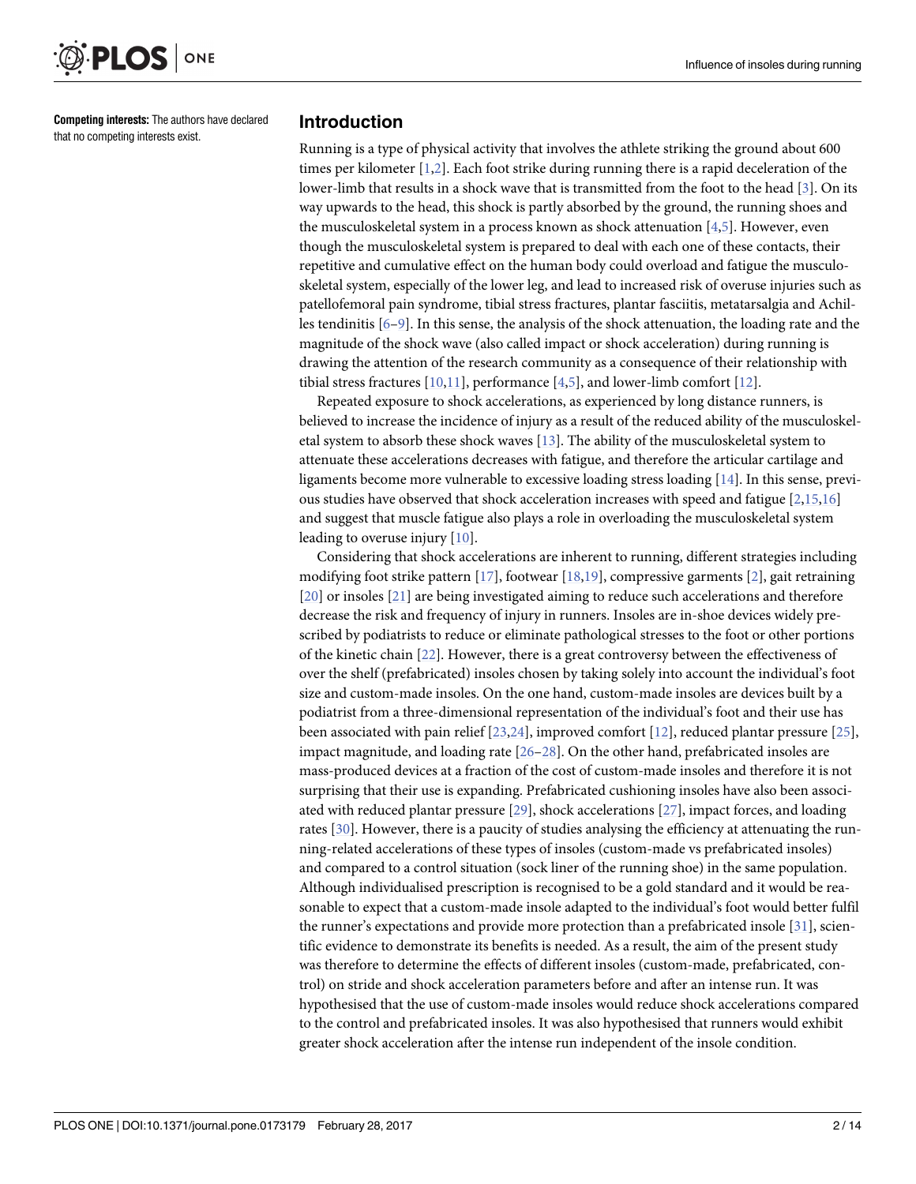<span id="page-1-0"></span>

**Competing interests:** The authors have declared that no competing interests exist.

#### **Introduction**

Running is a type of physical activity that involves the athlete striking the ground about 600 times per kilometer [\[1,2](#page-10-0)]. Each foot strike during running there is a rapid deceleration of the lower-limb that results in a shock wave that is transmitted from the foot to the head [\[3](#page-10-0)]. On its way upwards to the head, this shock is partly absorbed by the ground, the running shoes and the musculoskeletal system in a process known as shock attenuation [\[4,5](#page-10-0)]. However, even though the musculoskeletal system is prepared to deal with each one of these contacts, their repetitive and cumulative effect on the human body could overload and fatigue the musculoskeletal system, especially of the lower leg, and lead to increased risk of overuse injuries such as patellofemoral pain syndrome, tibial stress fractures, plantar fasciitis, metatarsalgia and Achilles tendinitis [\[6–9\]](#page-11-0). In this sense, the analysis of the shock attenuation, the loading rate and the magnitude of the shock wave (also called impact or shock acceleration) during running is drawing the attention of the research community as a consequence of their relationship with tibial stress fractures [[10](#page-11-0),[11](#page-11-0)], performance [\[4,5\]](#page-10-0), and lower-limb comfort [\[12\]](#page-11-0).

Repeated exposure to shock accelerations, as experienced by long distance runners, is believed to increase the incidence of injury as a result of the reduced ability of the musculoskeletal system to absorb these shock waves [\[13\]](#page-11-0). The ability of the musculoskeletal system to attenuate these accelerations decreases with fatigue, and therefore the articular cartilage and ligaments become more vulnerable to excessive loading stress loading [\[14\]](#page-11-0). In this sense, previous studies have observed that shock acceleration increases with speed and fatigue [[2,](#page-10-0)[15](#page-11-0),[16](#page-11-0)] and suggest that muscle fatigue also plays a role in overloading the musculoskeletal system leading to overuse injury [\[10\]](#page-11-0).

Considering that shock accelerations are inherent to running, different strategies including modifying foot strike pattern [[17](#page-11-0)], footwear [[18](#page-11-0),[19](#page-11-0)], compressive garments [\[2](#page-10-0)], gait retraining [\[20\]](#page-11-0) or insoles [\[21\]](#page-11-0) are being investigated aiming to reduce such accelerations and therefore decrease the risk and frequency of injury in runners. Insoles are in-shoe devices widely prescribed by podiatrists to reduce or eliminate pathological stresses to the foot or other portions of the kinetic chain [[22](#page-11-0)]. However, there is a great controversy between the effectiveness of over the shelf (prefabricated) insoles chosen by taking solely into account the individual's foot size and custom-made insoles. On the one hand, custom-made insoles are devices built by a podiatrist from a three-dimensional representation of the individual's foot and their use has been associated with pain relief [\[23,24\]](#page-11-0), improved comfort [\[12\]](#page-11-0), reduced plantar pressure [\[25\]](#page-11-0), impact magnitude, and loading rate [[26–28\]](#page-11-0). On the other hand, prefabricated insoles are mass-produced devices at a fraction of the cost of custom-made insoles and therefore it is not surprising that their use is expanding. Prefabricated cushioning insoles have also been associated with reduced plantar pressure [\[29\]](#page-11-0), shock accelerations [\[27\]](#page-11-0), impact forces, and loading rates [\[30\]](#page-12-0). However, there is a paucity of studies analysing the efficiency at attenuating the running-related accelerations of these types of insoles (custom-made vs prefabricated insoles) and compared to a control situation (sock liner of the running shoe) in the same population. Although individualised prescription is recognised to be a gold standard and it would be reasonable to expect that a custom-made insole adapted to the individual's foot would better fulfil the runner's expectations and provide more protection than a prefabricated insole [[31](#page-12-0)], scientific evidence to demonstrate its benefits is needed. As a result, the aim of the present study was therefore to determine the effects of different insoles (custom-made, prefabricated, control) on stride and shock acceleration parameters before and after an intense run. It was hypothesised that the use of custom-made insoles would reduce shock accelerations compared to the control and prefabricated insoles. It was also hypothesised that runners would exhibit greater shock acceleration after the intense run independent of the insole condition.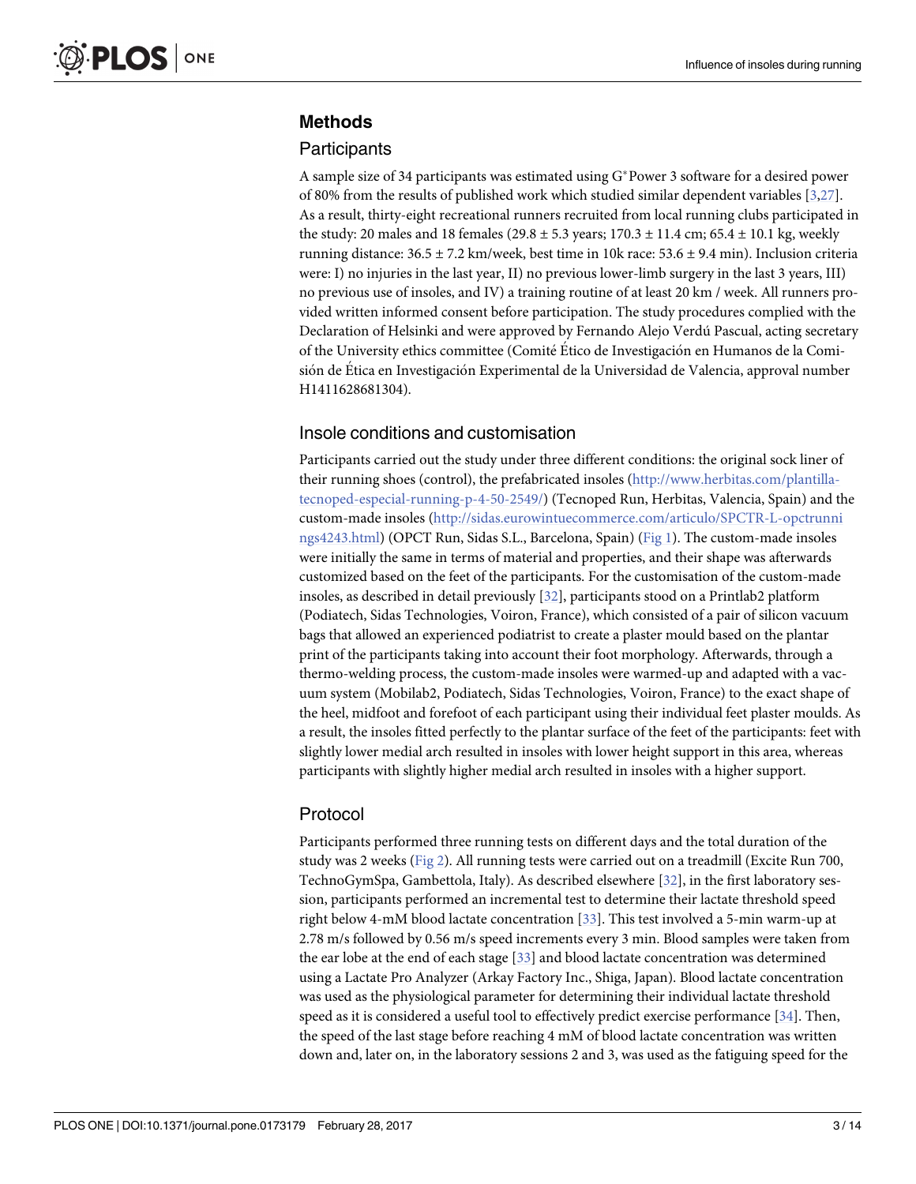### <span id="page-2-0"></span>**Methods**

#### **Participants**

A sample size of 34 participants was estimated using  $G^*$  Power 3 software for a desired power of 80% from the results of published work which studied similar dependent variables [[3](#page-10-0),[27](#page-11-0)]. As a result, thirty-eight recreational runners recruited from local running clubs participated in the study: 20 males and 18 females (29.8  $\pm$  5.3 years; 170.3  $\pm$  11.4 cm; 65.4  $\pm$  10.1 kg, weekly running distance: 36.5 ± 7.2 km/week, best time in 10k race: 53.6 ± 9.4 min). Inclusion criteria were: I) no injuries in the last year, II) no previous lower-limb surgery in the last 3 years, III) no previous use of insoles, and IV) a training routine of at least 20 km / week. All runners provided written informed consent before participation. The study procedures complied with the Declaration of Helsinki and were approved by Fernando Alejo Verdu´ Pascual, acting secretary of the University ethics committee (Comite´ E´tico de Investigacio´n en Humanos de la Comisión de Ética en Investigación Experimental de la Universidad de Valencia, approval number H1411628681304).

#### Insole conditions and customisation

Participants carried out the study under three different conditions: the original sock liner of their running shoes (control), the prefabricated insoles ([http://www.herbitas.com/plantilla](http://www.herbitas.com/plantilla-tecnoped-especial-running-p-4-50-2549/)[tecnoped-especial-running-p-4-50-2549/](http://www.herbitas.com/plantilla-tecnoped-especial-running-p-4-50-2549/)) (Tecnoped Run, Herbitas, Valencia, Spain) and the custom-made insoles ([http://sidas.eurowintuecommerce.com/articulo/SPCTR-L-opctrunni](http://sidas.eurowintuecommerce.com/articulo/SPCTR-L-opctrunnings4243.html) [ngs4243.html\)](http://sidas.eurowintuecommerce.com/articulo/SPCTR-L-opctrunnings4243.html) (OPCT Run, Sidas S.L., Barcelona, Spain) ([Fig](#page-3-0) 1). The custom-made insoles were initially the same in terms of material and properties, and their shape was afterwards customized based on the feet of the participants. For the customisation of the custom-made insoles, as described in detail previously [[32](#page-12-0)], participants stood on a Printlab2 platform (Podiatech, Sidas Technologies, Voiron, France), which consisted of a pair of silicon vacuum bags that allowed an experienced podiatrist to create a plaster mould based on the plantar print of the participants taking into account their foot morphology. Afterwards, through a thermo-welding process, the custom-made insoles were warmed-up and adapted with a vacuum system (Mobilab2, Podiatech, Sidas Technologies, Voiron, France) to the exact shape of the heel, midfoot and forefoot of each participant using their individual feet plaster moulds. As a result, the insoles fitted perfectly to the plantar surface of the feet of the participants: feet with slightly lower medial arch resulted in insoles with lower height support in this area, whereas participants with slightly higher medial arch resulted in insoles with a higher support.

#### Protocol

Participants performed three running tests on different days and the total duration of the study was 2 weeks [\(Fig](#page-3-0) 2). All running tests were carried out on a treadmill (Excite Run 700, TechnoGymSpa, Gambettola, Italy). As described elsewhere [[32\]](#page-12-0), in the first laboratory session, participants performed an incremental test to determine their lactate threshold speed right below 4-mM blood lactate concentration [\[33\]](#page-12-0). This test involved a 5-min warm-up at 2.78 m/s followed by 0.56 m/s speed increments every 3 min. Blood samples were taken from the ear lobe at the end of each stage [\[33\]](#page-12-0) and blood lactate concentration was determined using a Lactate Pro Analyzer (Arkay Factory Inc., Shiga, Japan). Blood lactate concentration was used as the physiological parameter for determining their individual lactate threshold speed as it is considered a useful tool to effectively predict exercise performance [\[34\]](#page-12-0). Then, the speed of the last stage before reaching 4 mM of blood lactate concentration was written down and, later on, in the laboratory sessions 2 and 3, was used as the fatiguing speed for the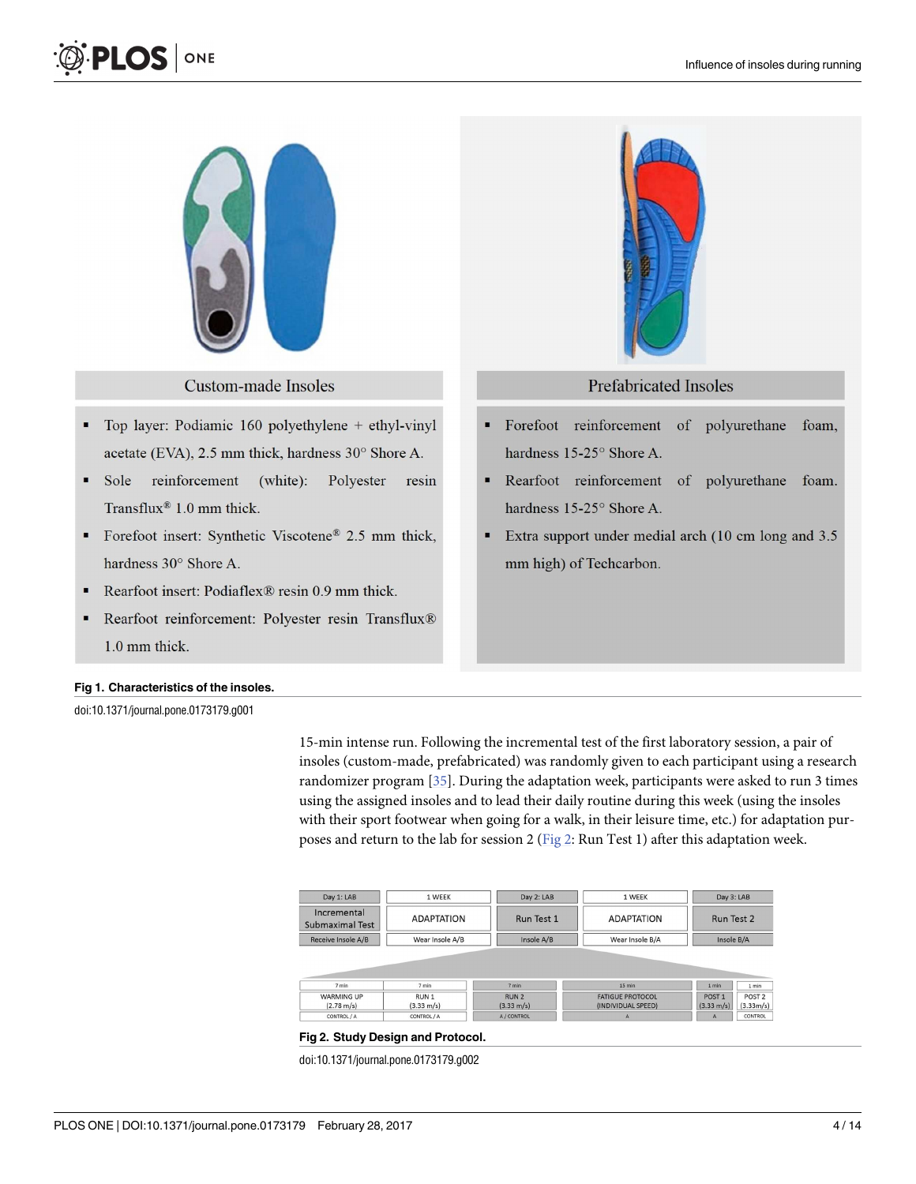<span id="page-3-0"></span>



**Custom-made Insoles** 

- Top layer: Podiamic 160 polyethylene + ethyl-vinyl acetate (EVA), 2.5 mm thick, hardness 30° Shore A.
- $\blacksquare$ Sole reinforcement (white): Polyester resin Transflux®  $1.0$  mm thick.
- Forefoot insert: Synthetic Viscotene® 2.5 mm thick,  $\blacksquare$ hardness 30° Shore A.
- Rearfoot insert: Podiaflex® resin 0.9 mm thick. ×
- Rearfoot reinforcement: Polyester resin Transflux® 1.0 mm thick.

#### **[Fig](#page-2-0) 1. Characteristics of the insoles.**

doi:10.1371/journal.pone.0173179.g001

15-min intense run. Following the incremental test of the first laboratory session, a pair of insoles (custom-made, prefabricated) was randomly given to each participant using a research randomizer program [\[35\]](#page-12-0). During the adaptation week, participants were asked to run 3 times using the assigned insoles and to lead their daily routine during this week (using the insoles with their sport footwear when going for a walk, in their leisure time, etc.) for adaptation purposes and return to the lab for session 2 (Fig 2: Run Test 1) after this adaptation week.

Forefoot reinforcement

hardness 15-25° Shore A.

hardness 15-25° Shore A.

mm high) of Techcarbon.

п

| Day 1: LAB                                | 1 WEEK                        | Day 2: LAB                               | 1 WEEK                                        | Day 3: LAB<br>Run Test 2<br>Insole B/A    |                                |
|-------------------------------------------|-------------------------------|------------------------------------------|-----------------------------------------------|-------------------------------------------|--------------------------------|
| Incremental<br><b>Submaximal Test</b>     | <b>ADAPTATION</b>             | Run Test 1                               | <b>ADAPTATION</b>                             |                                           |                                |
|                                           | Wear Insole A/B               | Insole A/B                               | Wear Insole B/A                               |                                           |                                |
| Receive Insole A/B                        |                               |                                          |                                               |                                           |                                |
| 7 min                                     | 7 min                         | 7 min                                    | $15 \text{ min}$                              | 1 min                                     | 1 min                          |
| <b>WARMING UP</b><br>$(2.78 \text{ m/s})$ | RUN 1<br>$(3.33 \text{ m/s})$ | RUN <sub>2</sub><br>$(3.33 \text{ m/s})$ | <b>FATIGUE PROTOCOL</b><br>(INDIVIDUAL SPEED) | POST <sub>1</sub><br>$(3.33 \text{ m/s})$ | POST <sub>2</sub><br>(3.33m/s) |

#### **[Fig](#page-2-0) 2. Study Design and Protocol.**

doi:10.1371/journal.pone.0173179.g002



foam,

foam.

of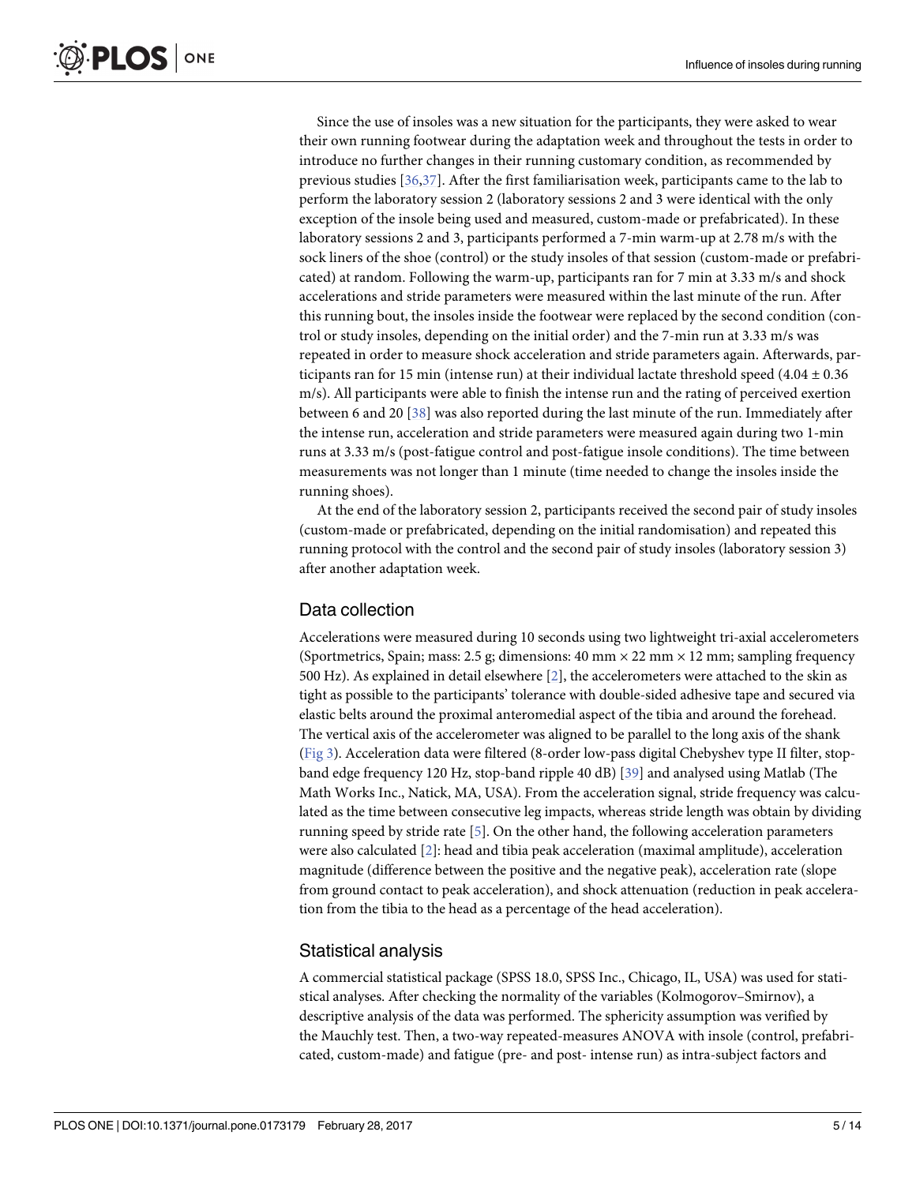<span id="page-4-0"></span>Since the use of insoles was a new situation for the participants, they were asked to wear their own running footwear during the adaptation week and throughout the tests in order to introduce no further changes in their running customary condition, as recommended by previous studies [[36](#page-12-0),[37](#page-12-0)]. After the first familiarisation week, participants came to the lab to perform the laboratory session 2 (laboratory sessions 2 and 3 were identical with the only exception of the insole being used and measured, custom-made or prefabricated). In these laboratory sessions 2 and 3, participants performed a 7-min warm-up at 2.78 m/s with the sock liners of the shoe (control) or the study insoles of that session (custom-made or prefabricated) at random. Following the warm-up, participants ran for 7 min at 3.33 m/s and shock accelerations and stride parameters were measured within the last minute of the run. After this running bout, the insoles inside the footwear were replaced by the second condition (control or study insoles, depending on the initial order) and the 7-min run at 3.33 m/s was repeated in order to measure shock acceleration and stride parameters again. Afterwards, participants ran for 15 min (intense run) at their individual lactate threshold speed  $(4.04 \pm 0.36)$ m/s). All participants were able to finish the intense run and the rating of perceived exertion between 6 and 20 [\[38\]](#page-12-0) was also reported during the last minute of the run. Immediately after the intense run, acceleration and stride parameters were measured again during two 1-min runs at 3.33 m/s (post-fatigue control and post-fatigue insole conditions). The time between measurements was not longer than 1 minute (time needed to change the insoles inside the running shoes).

At the end of the laboratory session 2, participants received the second pair of study insoles (custom-made or prefabricated, depending on the initial randomisation) and repeated this running protocol with the control and the second pair of study insoles (laboratory session 3) after another adaptation week.

### Data collection

Accelerations were measured during 10 seconds using two lightweight tri-axial accelerometers (Sportmetrics, Spain; mass: 2.5 g; dimensions: 40 mm  $\times$  22 mm  $\times$  12 mm; sampling frequency 500 Hz). As explained in detail elsewhere [[2](#page-10-0)], the accelerometers were attached to the skin as tight as possible to the participants' tolerance with double-sided adhesive tape and secured via elastic belts around the proximal anteromedial aspect of the tibia and around the forehead. The vertical axis of the accelerometer was aligned to be parallel to the long axis of the shank [\(Fig](#page-5-0) 3). Acceleration data were filtered (8-order low-pass digital Chebyshev type II filter, stopband edge frequency 120 Hz, stop-band ripple 40 dB) [[39](#page-12-0)] and analysed using Matlab (The Math Works Inc., Natick, MA, USA). From the acceleration signal, stride frequency was calculated as the time between consecutive leg impacts, whereas stride length was obtain by dividing running speed by stride rate [\[5\]](#page-10-0). On the other hand, the following acceleration parameters were also calculated [\[2](#page-10-0)]: head and tibia peak acceleration (maximal amplitude), acceleration magnitude (difference between the positive and the negative peak), acceleration rate (slope from ground contact to peak acceleration), and shock attenuation (reduction in peak acceleration from the tibia to the head as a percentage of the head acceleration).

### Statistical analysis

A commercial statistical package (SPSS 18.0, SPSS Inc., Chicago, IL, USA) was used for statistical analyses. After checking the normality of the variables (Kolmogorov–Smirnov), a descriptive analysis of the data was performed. The sphericity assumption was verified by the Mauchly test. Then, a two-way repeated-measures ANOVA with insole (control, prefabricated, custom-made) and fatigue (pre- and post- intense run) as intra-subject factors and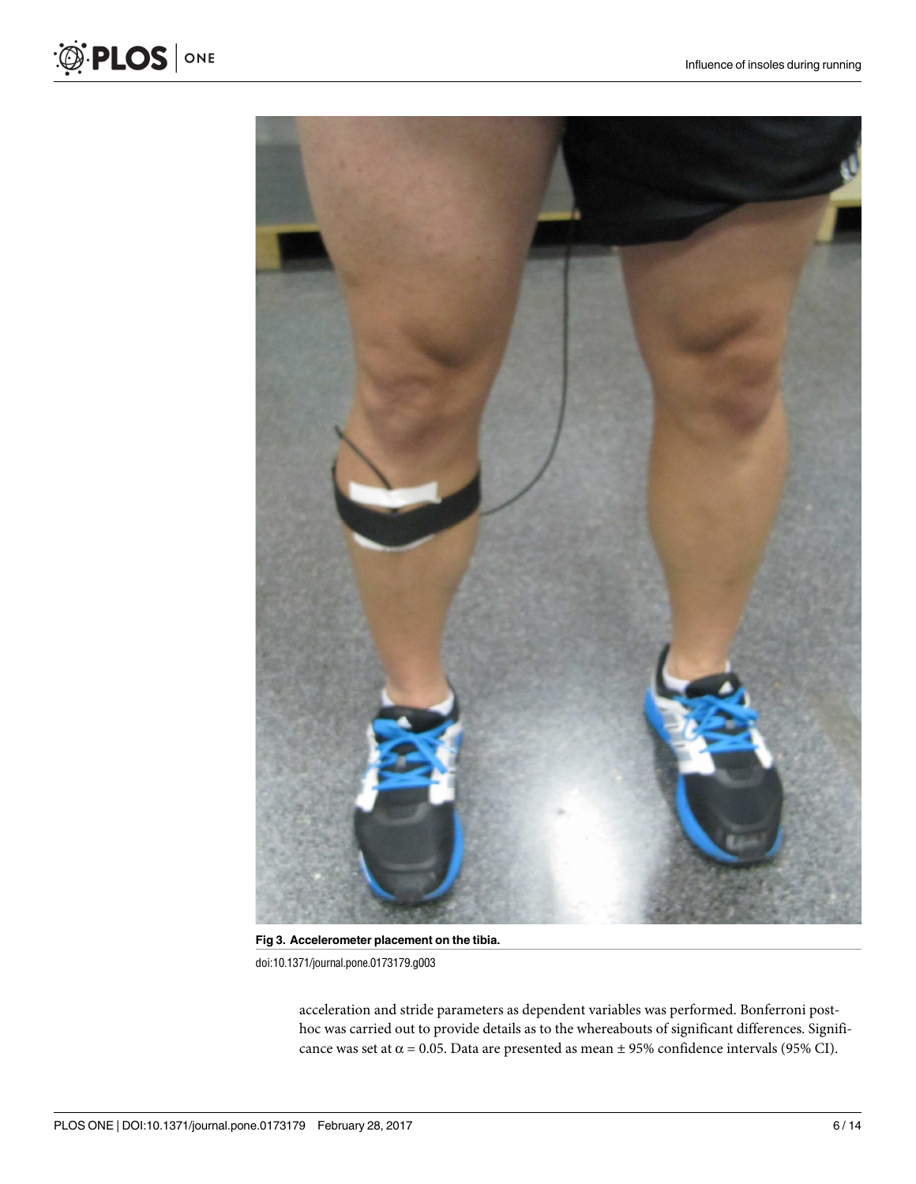

**[Fig](#page-4-0) 3. Accelerometer placement on the tibia.** doi:10.1371/journal.pone.0173179.g003

acceleration and stride parameters as dependent variables was performed. Bonferroni posthoc was carried out to provide details as to the whereabouts of significant differences. Significance was set at  $\alpha$  = 0.05. Data are presented as mean  $\pm$  95% confidence intervals (95% CI).

<span id="page-5-0"></span>O PLOS ONE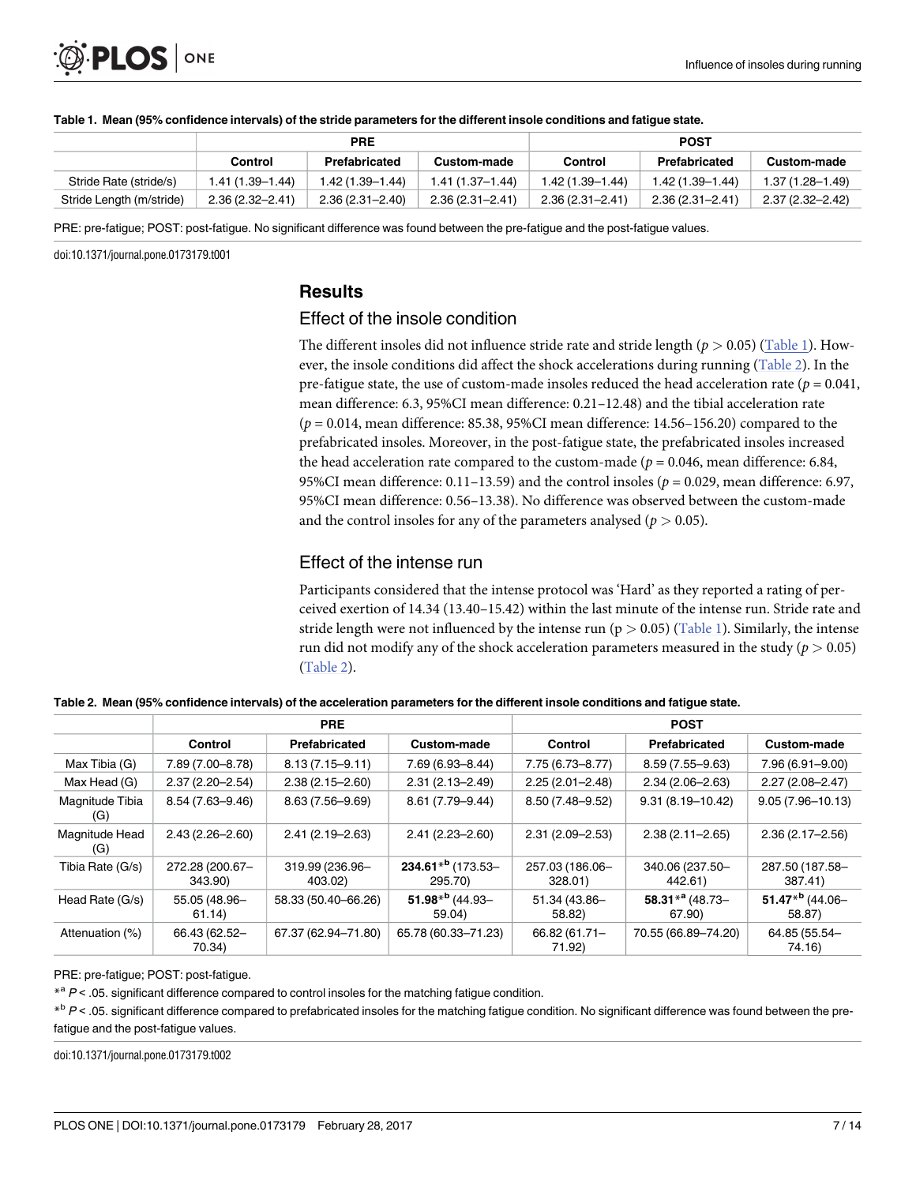

|                          | <b>PRE</b>       |                     |                     | <b>POST</b>         |                     |                     |  |
|--------------------------|------------------|---------------------|---------------------|---------------------|---------------------|---------------------|--|
|                          | Control          | Prefabricated       | Custom-made         | Control             | Prefabricated       | Custom-made         |  |
| Stride Rate (stride/s)   | 1.41 (1.39–1.44) | 1.42 (1.39–1.44)    | 1.41 (1.37–1.44)    | 1.42 (1.39–1.44)    | $1.42(1.39 - 1.44)$ | $1.37(1.28 - 1.49)$ |  |
| Stride Length (m/stride) | 2.36 (2.32–2.41) | $2.36(2.31 - 2.40)$ | $2.36(2.31 - 2.41)$ | $2.36(2.31 - 2.41)$ | $2.36(2.31 - 2.41)$ | 2.37 (2.32–2.42)    |  |

#### Table 1. Mean (95% confidence intervals) of the stride parameters for the different insole conditions and fatigue state.

PRE: pre-fatigue; POST: post-fatigue. No significant difference was found between the pre-fatigue and the post-fatigue values.

doi:10.1371/journal.pone.0173179.t001

### **Results**

### Effect of the insole condition

The different insoles did not influence stride rate and stride length ( $p > 0.05$ ) (Table 1). However, the insole conditions did affect the shock accelerations during running (Table 2). In the pre-fatigue state, the use of custom-made insoles reduced the head acceleration rate ( $p = 0.041$ , mean difference: 6.3, 95%CI mean difference: 0.21–12.48) and the tibial acceleration rate (*p* = 0.014, mean difference: 85.38, 95%CI mean difference: 14.56–156.20) compared to the prefabricated insoles. Moreover, in the post-fatigue state, the prefabricated insoles increased the head acceleration rate compared to the custom-made ( $p = 0.046$ , mean difference: 6.84, 95%CI mean difference: 0.11–13.59) and the control insoles (*p* = 0.029, mean difference: 6.97, 95%CI mean difference: 0.56–13.38). No difference was observed between the custom-made and the control insoles for any of the parameters analysed ( $p > 0.05$ ).

#### Effect of the intense run

Participants considered that the intense protocol was 'Hard' as they reported a rating of perceived exertion of 14.34 (13.40–15.42) within the last minute of the intense run. Stride rate and stride length were not influenced by the intense run (p *>* 0.05) (Table 1). Similarly, the intense run did not modify any of the shock acceleration parameters measured in the study ( $p > 0.05$ ) (Table 2).

|                        | <b>PRE</b>                 |                            |                                      | <b>POST</b>                |                                          |                                       |  |
|------------------------|----------------------------|----------------------------|--------------------------------------|----------------------------|------------------------------------------|---------------------------------------|--|
|                        | Control                    | Prefabricated              | Custom-made                          | <b>Control</b>             | Prefabricated                            | Custom-made                           |  |
| Max Tibia (G)          | 7.89 (7.00-8.78)           | $8.13(7.15 - 9.11)$        | 7.69 (6.93-8.44)                     | 7.75 (6.73-8.77)           | $8.59(7.55 - 9.63)$                      | 7.96 (6.91-9.00)                      |  |
| Max Head (G)           | $2.37(2.20 - 2.54)$        | $2.38(2.15 - 2.60)$        | $2.31(2.13 - 2.49)$                  | $2.25(2.01 - 2.48)$        | $2.34(2.06 - 2.63)$                      | $2.27(2.08 - 2.47)$                   |  |
| Magnitude Tibia<br>(G) | $8.54(7.63 - 9.46)$        | 8.63 (7.56-9.69)           | 8.61 (7.79-9.44)                     | 8.50 (7.48-9.52)           | $9.31(8.19 - 10.42)$                     | $9.05(7.96 - 10.13)$                  |  |
| Magnitude Head<br>(G)  | $2.43(2.26 - 2.60)$        | $2.41(2.19 - 2.63)$        | $2.41(2.23 - 2.60)$                  | $2.31(2.09 - 2.53)$        | $2.38(2.11 - 2.65)$                      | $2.36(2.17 - 2.56)$                   |  |
| Tibia Rate (G/s)       | 272.28 (200.67-<br>343.90) | 319.99 (236.96-<br>403.02) | $234.61*^{b}$ (173.53-<br>295.70)    | 257.03 (186.06-<br>328.01) | 340.06 (237.50-<br>442.61)               | 287.50 (187.58-<br>387.41)            |  |
| Head Rate (G/s)        | 55.05 (48.96-<br>61.14)    | 58.33 (50.40-66.26)        | 51.98 <sup>*b</sup> (44.93-<br>59.04 | 51.34 (43.86-<br>58.82)    | 58.31 $*$ <sup>a</sup> (48.73-<br>67.90) | 51.47 <sup>*b</sup> (44.06-<br>58.87) |  |
| Attenuation (%)        | 66.43 (62.52-<br>70.34)    | 67.37 (62.94-71.80)        | 65.78 (60.33-71.23)                  | 66.82 (61.71-<br>71.92)    | 70.55 (66.89-74.20)                      | 64.85 (55.54-<br>74.16)               |  |

Table 2. Mean (95% confidence intervals) of the acceleration parameters for the different insole conditions and fatigue state.

PRE: pre-fatigue; POST: post-fatigue.

 $*$ <sup>a</sup>  $P$  < .05. significant difference compared to control insoles for the matching fatigue condition.

 $*^b$  P < .05. significant difference compared to prefabricated insoles for the matching fatigue condition. No significant difference was found between the prefatigue and the post-fatigue values.

doi:10.1371/journal.pone.0173179.t002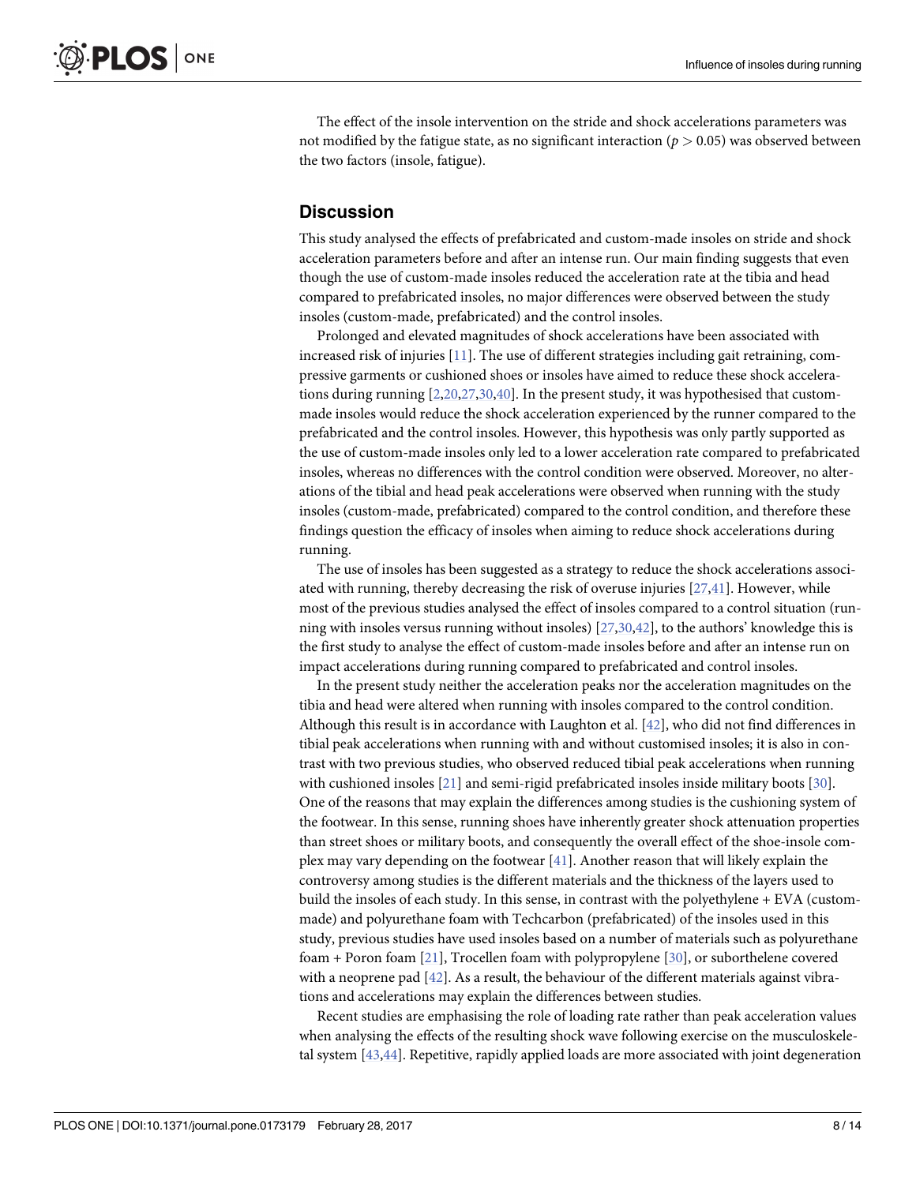<span id="page-7-0"></span>The effect of the insole intervention on the stride and shock accelerations parameters was not modified by the fatigue state, as no significant interaction (*p >* 0.05) was observed between the two factors (insole, fatigue).

#### **Discussion**

This study analysed the effects of prefabricated and custom-made insoles on stride and shock acceleration parameters before and after an intense run. Our main finding suggests that even though the use of custom-made insoles reduced the acceleration rate at the tibia and head compared to prefabricated insoles, no major differences were observed between the study insoles (custom-made, prefabricated) and the control insoles.

Prolonged and elevated magnitudes of shock accelerations have been associated with increased risk of injuries [\[11\]](#page-11-0). The use of different strategies including gait retraining, compressive garments or cushioned shoes or insoles have aimed to reduce these shock accelerations during running [[2](#page-10-0),[20,27](#page-11-0)[,30,40\]](#page-12-0). In the present study, it was hypothesised that custommade insoles would reduce the shock acceleration experienced by the runner compared to the prefabricated and the control insoles. However, this hypothesis was only partly supported as the use of custom-made insoles only led to a lower acceleration rate compared to prefabricated insoles, whereas no differences with the control condition were observed. Moreover, no alterations of the tibial and head peak accelerations were observed when running with the study insoles (custom-made, prefabricated) compared to the control condition, and therefore these findings question the efficacy of insoles when aiming to reduce shock accelerations during running.

The use of insoles has been suggested as a strategy to reduce the shock accelerations associated with running, thereby decreasing the risk of overuse injuries [[27](#page-11-0),[41](#page-12-0)]. However, while most of the previous studies analysed the effect of insoles compared to a control situation (running with insoles versus running without insoles) [\[27](#page-11-0)[,30,42](#page-12-0)], to the authors' knowledge this is the first study to analyse the effect of custom-made insoles before and after an intense run on impact accelerations during running compared to prefabricated and control insoles.

In the present study neither the acceleration peaks nor the acceleration magnitudes on the tibia and head were altered when running with insoles compared to the control condition. Although this result is in accordance with Laughton et al. [\[42\]](#page-12-0), who did not find differences in tibial peak accelerations when running with and without customised insoles; it is also in contrast with two previous studies, who observed reduced tibial peak accelerations when running with cushioned insoles [\[21\]](#page-11-0) and semi-rigid prefabricated insoles inside military boots [[30](#page-12-0)]. One of the reasons that may explain the differences among studies is the cushioning system of the footwear. In this sense, running shoes have inherently greater shock attenuation properties than street shoes or military boots, and consequently the overall effect of the shoe-insole complex may vary depending on the footwear [\[41\]](#page-12-0). Another reason that will likely explain the controversy among studies is the different materials and the thickness of the layers used to build the insoles of each study. In this sense, in contrast with the polyethylene + EVA (custommade) and polyurethane foam with Techcarbon (prefabricated) of the insoles used in this study, previous studies have used insoles based on a number of materials such as polyurethane foam + Poron foam [[21](#page-11-0)], Trocellen foam with polypropylene [\[30\]](#page-12-0), or suborthelene covered with a neoprene pad  $[42]$  $[42]$  $[42]$ . As a result, the behaviour of the different materials against vibrations and accelerations may explain the differences between studies.

Recent studies are emphasising the role of loading rate rather than peak acceleration values when analysing the effects of the resulting shock wave following exercise on the musculoskeletal system [[43,44\]](#page-12-0). Repetitive, rapidly applied loads are more associated with joint degeneration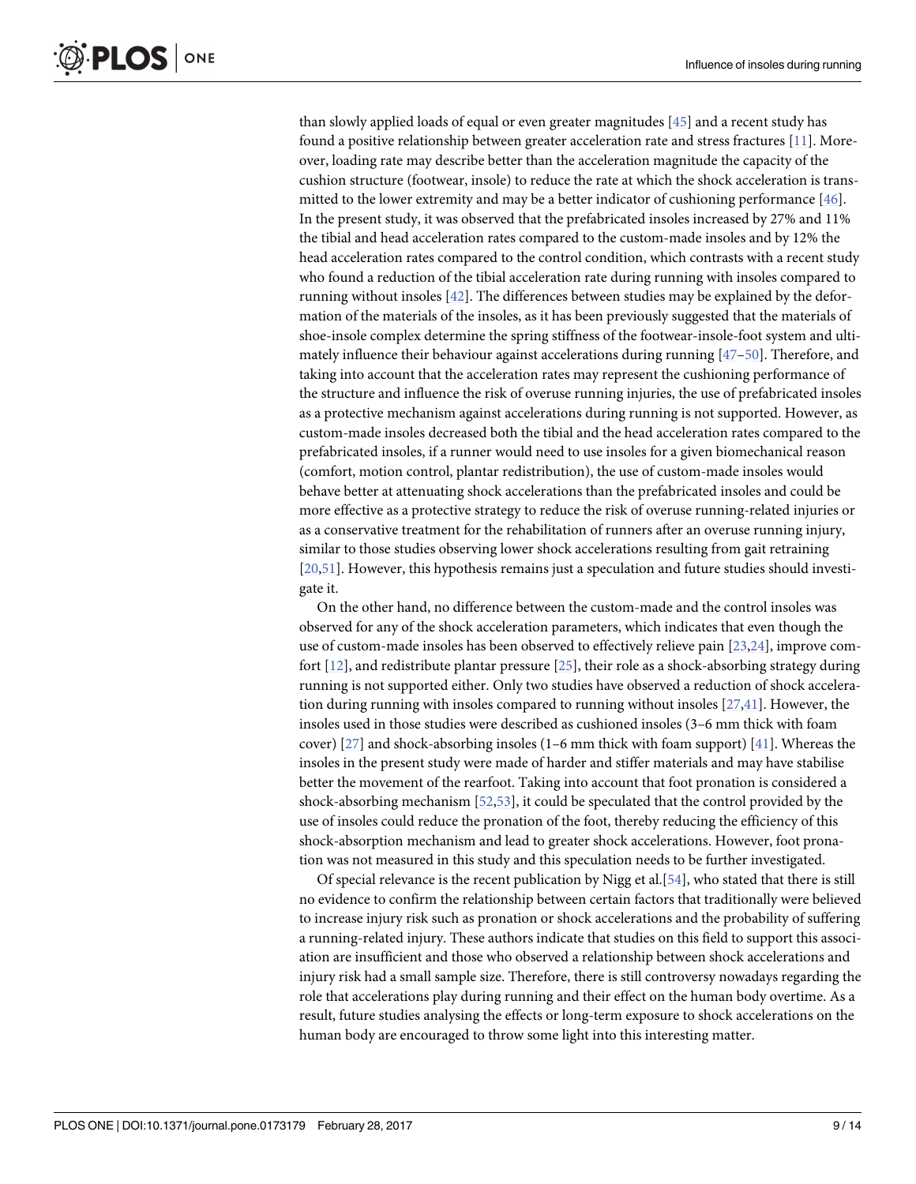<span id="page-8-0"></span>than slowly applied loads of equal or even greater magnitudes [[45](#page-12-0)] and a recent study has found a positive relationship between greater acceleration rate and stress fractures [[11](#page-11-0)]. Moreover, loading rate may describe better than the acceleration magnitude the capacity of the cushion structure (footwear, insole) to reduce the rate at which the shock acceleration is transmitted to the lower extremity and may be a better indicator of cushioning performance [[46](#page-12-0)]. In the present study, it was observed that the prefabricated insoles increased by 27% and 11% the tibial and head acceleration rates compared to the custom-made insoles and by 12% the head acceleration rates compared to the control condition, which contrasts with a recent study who found a reduction of the tibial acceleration rate during running with insoles compared to running without insoles [\[42\]](#page-12-0). The differences between studies may be explained by the deformation of the materials of the insoles, as it has been previously suggested that the materials of shoe-insole complex determine the spring stiffness of the footwear-insole-foot system and ultimately influence their behaviour against accelerations during running [\[47–50\]](#page-12-0). Therefore, and taking into account that the acceleration rates may represent the cushioning performance of the structure and influence the risk of overuse running injuries, the use of prefabricated insoles as a protective mechanism against accelerations during running is not supported. However, as custom-made insoles decreased both the tibial and the head acceleration rates compared to the prefabricated insoles, if a runner would need to use insoles for a given biomechanical reason (comfort, motion control, plantar redistribution), the use of custom-made insoles would behave better at attenuating shock accelerations than the prefabricated insoles and could be more effective as a protective strategy to reduce the risk of overuse running-related injuries or as a conservative treatment for the rehabilitation of runners after an overuse running injury, similar to those studies observing lower shock accelerations resulting from gait retraining [\[20](#page-11-0)[,51\]](#page-12-0). However, this hypothesis remains just a speculation and future studies should investigate it.

On the other hand, no difference between the custom-made and the control insoles was observed for any of the shock acceleration parameters, which indicates that even though the use of custom-made insoles has been observed to effectively relieve pain [\[23,24](#page-11-0)], improve comfort [\[12\]](#page-11-0), and redistribute plantar pressure [\[25\]](#page-11-0), their role as a shock-absorbing strategy during running is not supported either. Only two studies have observed a reduction of shock acceleration during running with insoles compared to running without insoles  $[27,41]$  $[27,41]$  $[27,41]$ . However, the insoles used in those studies were described as cushioned insoles (3–6 mm thick with foam cover) [[27](#page-11-0)] and shock-absorbing insoles (1–6 mm thick with foam support) [[41](#page-12-0)]. Whereas the insoles in the present study were made of harder and stiffer materials and may have stabilise better the movement of the rearfoot. Taking into account that foot pronation is considered a shock-absorbing mechanism [\[52,53\]](#page-12-0), it could be speculated that the control provided by the use of insoles could reduce the pronation of the foot, thereby reducing the efficiency of this shock-absorption mechanism and lead to greater shock accelerations. However, foot pronation was not measured in this study and this speculation needs to be further investigated.

Of special relevance is the recent publication by Nigg et al.[\[54\]](#page-13-0), who stated that there is still no evidence to confirm the relationship between certain factors that traditionally were believed to increase injury risk such as pronation or shock accelerations and the probability of suffering a running-related injury. These authors indicate that studies on this field to support this association are insufficient and those who observed a relationship between shock accelerations and injury risk had a small sample size. Therefore, there is still controversy nowadays regarding the role that accelerations play during running and their effect on the human body overtime. As a result, future studies analysing the effects or long-term exposure to shock accelerations on the human body are encouraged to throw some light into this interesting matter.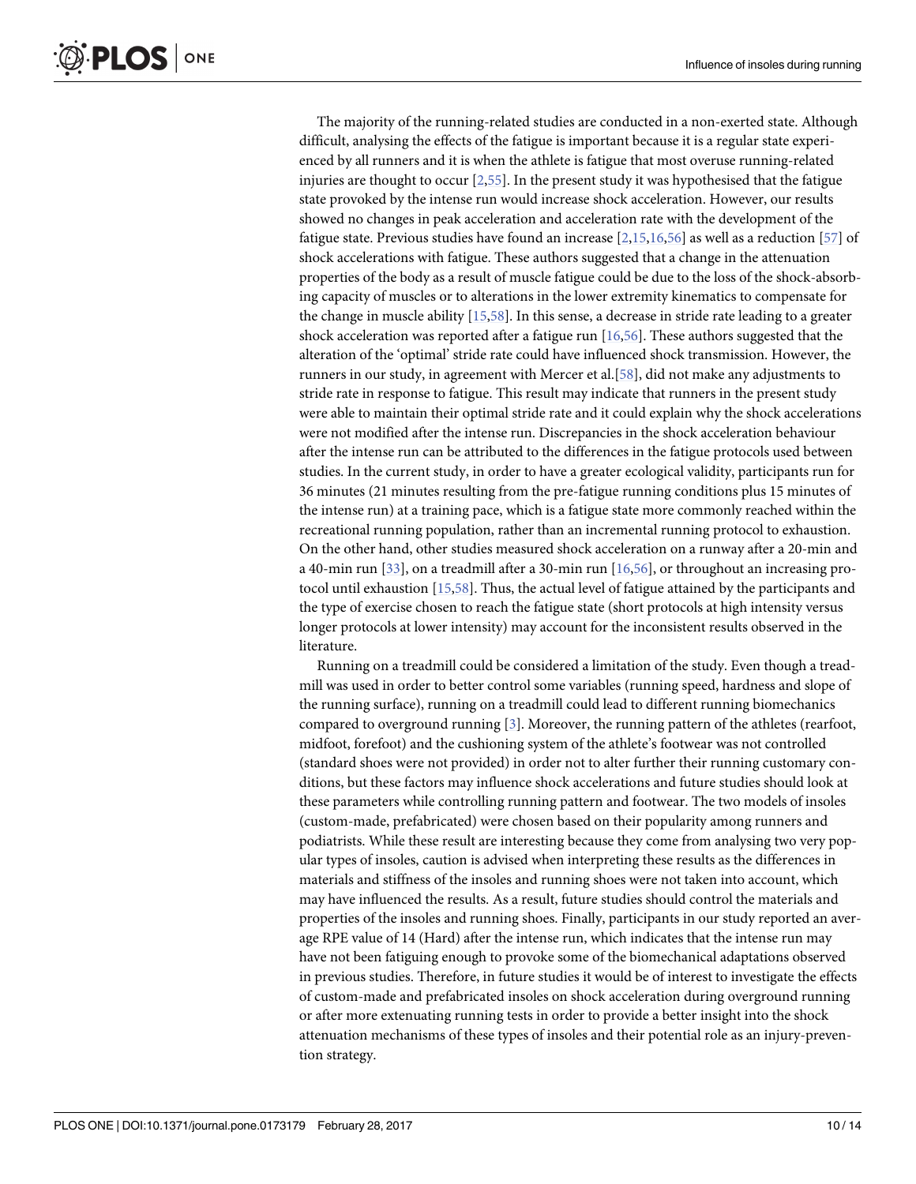<span id="page-9-0"></span>The majority of the running-related studies are conducted in a non-exerted state. Although difficult, analysing the effects of the fatigue is important because it is a regular state experienced by all runners and it is when the athlete is fatigue that most overuse running-related injuries are thought to occur  $[2,55]$  $[2,55]$ . In the present study it was hypothesised that the fatigue state provoked by the intense run would increase shock acceleration. However, our results showed no changes in peak acceleration and acceleration rate with the development of the fatigue state. Previous studies have found an increase [[2](#page-10-0),[15,16,](#page-11-0)[56\]](#page-13-0) as well as a reduction [[57](#page-13-0)] of shock accelerations with fatigue. These authors suggested that a change in the attenuation properties of the body as a result of muscle fatigue could be due to the loss of the shock-absorbing capacity of muscles or to alterations in the lower extremity kinematics to compensate for the change in muscle ability [\[15,](#page-11-0)[58](#page-13-0)]. In this sense, a decrease in stride rate leading to a greater shock acceleration was reported after a fatigue run  $[16,56]$  $[16,56]$ . These authors suggested that the alteration of the 'optimal' stride rate could have influenced shock transmission. However, the runners in our study, in agreement with Mercer et al.[\[58\]](#page-13-0), did not make any adjustments to stride rate in response to fatigue. This result may indicate that runners in the present study were able to maintain their optimal stride rate and it could explain why the shock accelerations were not modified after the intense run. Discrepancies in the shock acceleration behaviour after the intense run can be attributed to the differences in the fatigue protocols used between studies. In the current study, in order to have a greater ecological validity, participants run for 36 minutes (21 minutes resulting from the pre-fatigue running conditions plus 15 minutes of the intense run) at a training pace, which is a fatigue state more commonly reached within the recreational running population, rather than an incremental running protocol to exhaustion. On the other hand, other studies measured shock acceleration on a runway after a 20-min and a 40-min run [\[33\]](#page-12-0), on a treadmill after a 30-min run [[16](#page-11-0),[56](#page-13-0)], or throughout an increasing protocol until exhaustion [\[15,](#page-11-0)[58\]](#page-13-0). Thus, the actual level of fatigue attained by the participants and the type of exercise chosen to reach the fatigue state (short protocols at high intensity versus longer protocols at lower intensity) may account for the inconsistent results observed in the literature.

Running on a treadmill could be considered a limitation of the study. Even though a treadmill was used in order to better control some variables (running speed, hardness and slope of the running surface), running on a treadmill could lead to different running biomechanics compared to overground running [\[3](#page-10-0)]. Moreover, the running pattern of the athletes (rearfoot, midfoot, forefoot) and the cushioning system of the athlete's footwear was not controlled (standard shoes were not provided) in order not to alter further their running customary conditions, but these factors may influence shock accelerations and future studies should look at these parameters while controlling running pattern and footwear. The two models of insoles (custom-made, prefabricated) were chosen based on their popularity among runners and podiatrists. While these result are interesting because they come from analysing two very popular types of insoles, caution is advised when interpreting these results as the differences in materials and stiffness of the insoles and running shoes were not taken into account, which may have influenced the results. As a result, future studies should control the materials and properties of the insoles and running shoes. Finally, participants in our study reported an average RPE value of 14 (Hard) after the intense run, which indicates that the intense run may have not been fatiguing enough to provoke some of the biomechanical adaptations observed in previous studies. Therefore, in future studies it would be of interest to investigate the effects of custom-made and prefabricated insoles on shock acceleration during overground running or after more extenuating running tests in order to provide a better insight into the shock attenuation mechanisms of these types of insoles and their potential role as an injury-prevention strategy.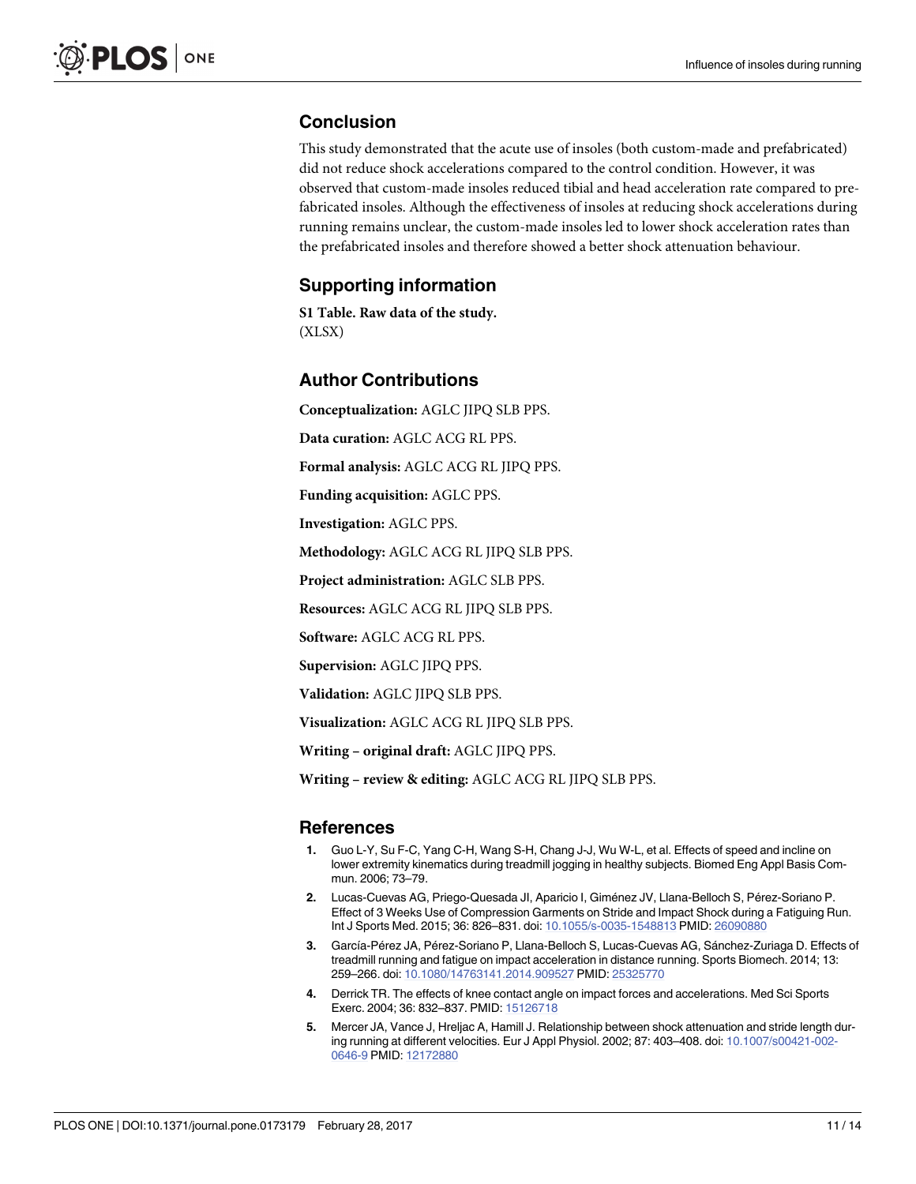## <span id="page-10-0"></span>**Conclusion**

This study demonstrated that the acute use of insoles (both custom-made and prefabricated) did not reduce shock accelerations compared to the control condition. However, it was observed that custom-made insoles reduced tibial and head acceleration rate compared to prefabricated insoles. Although the effectiveness of insoles at reducing shock accelerations during running remains unclear, the custom-made insoles led to lower shock acceleration rates than the prefabricated insoles and therefore showed a better shock attenuation behaviour.

#### **Supporting information**

**S1 [Table.](http://www.plosone.org/article/fetchSingleRepresentation.action?uri=info:doi/10.1371/journal.pone.0173179.s001) Raw data of the study.** (XLSX)

#### **Author Contributions**

**Conceptualization:** AGLC JIPQ SLB PPS.

**Data curation:** AGLC ACG RL PPS.

**Formal analysis:** AGLC ACG RL JIPQ PPS.

**Funding acquisition:** AGLC PPS.

**Investigation:** AGLC PPS.

**Methodology:** AGLC ACG RL JIPQ SLB PPS.

**Project administration:** AGLC SLB PPS.

**Resources:** AGLC ACG RL JIPQ SLB PPS.

**Software:** AGLC ACG RL PPS.

**Supervision:** AGLC JIPQ PPS.

**Validation:** AGLC JIPQ SLB PPS.

**Visualization:** AGLC ACG RL JIPQ SLB PPS.

**Writing – original draft:** AGLC JIPQ PPS.

**Writing – review & editing:** AGLC ACG RL JIPQ SLB PPS.

#### **References**

- **[1](#page-1-0).** Guo L-Y, Su F-C, Yang C-H, Wang S-H, Chang J-J, Wu W-L, et al. Effects of speed and incline on lower extremity kinematics during treadmill jogging in healthy subjects. Biomed Eng Appl Basis Commun. 2006; 73–79.
- **[2](#page-1-0).** Lucas-Cuevas AG, Priego-Quesada JI, Aparicio I, Giménez JV, Llana-Belloch S, Pérez-Soriano P. Effect of 3 Weeks Use of Compression Garments on Stride and Impact Shock during a Fatiguing Run. Int J Sports Med. 2015; 36: 826–831. doi: [10.1055/s-0035-1548813](http://dx.doi.org/10.1055/s-0035-1548813) PMID: [26090880](http://www.ncbi.nlm.nih.gov/pubmed/26090880)
- **[3](#page-1-0).** García-Pérez JA, Pérez-Soriano P, Llana-Belloch S, Lucas-Cuevas AG, Sánchez-Zuriaga D. Effects of treadmill running and fatigue on impact acceleration in distance running. Sports Biomech. 2014; 13: 259–266. doi: [10.1080/14763141.2014.909527](http://dx.doi.org/10.1080/14763141.2014.909527) PMID: [25325770](http://www.ncbi.nlm.nih.gov/pubmed/25325770)
- **[4](#page-1-0).** Derrick TR. The effects of knee contact angle on impact forces and accelerations. Med Sci Sports Exerc. 2004; 36: 832–837. PMID: [15126718](http://www.ncbi.nlm.nih.gov/pubmed/15126718)
- **[5](#page-1-0).** Mercer JA, Vance J, Hreljac A, Hamill J. Relationship between shock attenuation and stride length during running at different velocities. Eur J Appl Physiol. 2002; 87: 403–408. doi: [10.1007/s00421-002-](http://dx.doi.org/10.1007/s00421-002-0646-9) [0646-9](http://dx.doi.org/10.1007/s00421-002-0646-9) PMID: [12172880](http://www.ncbi.nlm.nih.gov/pubmed/12172880)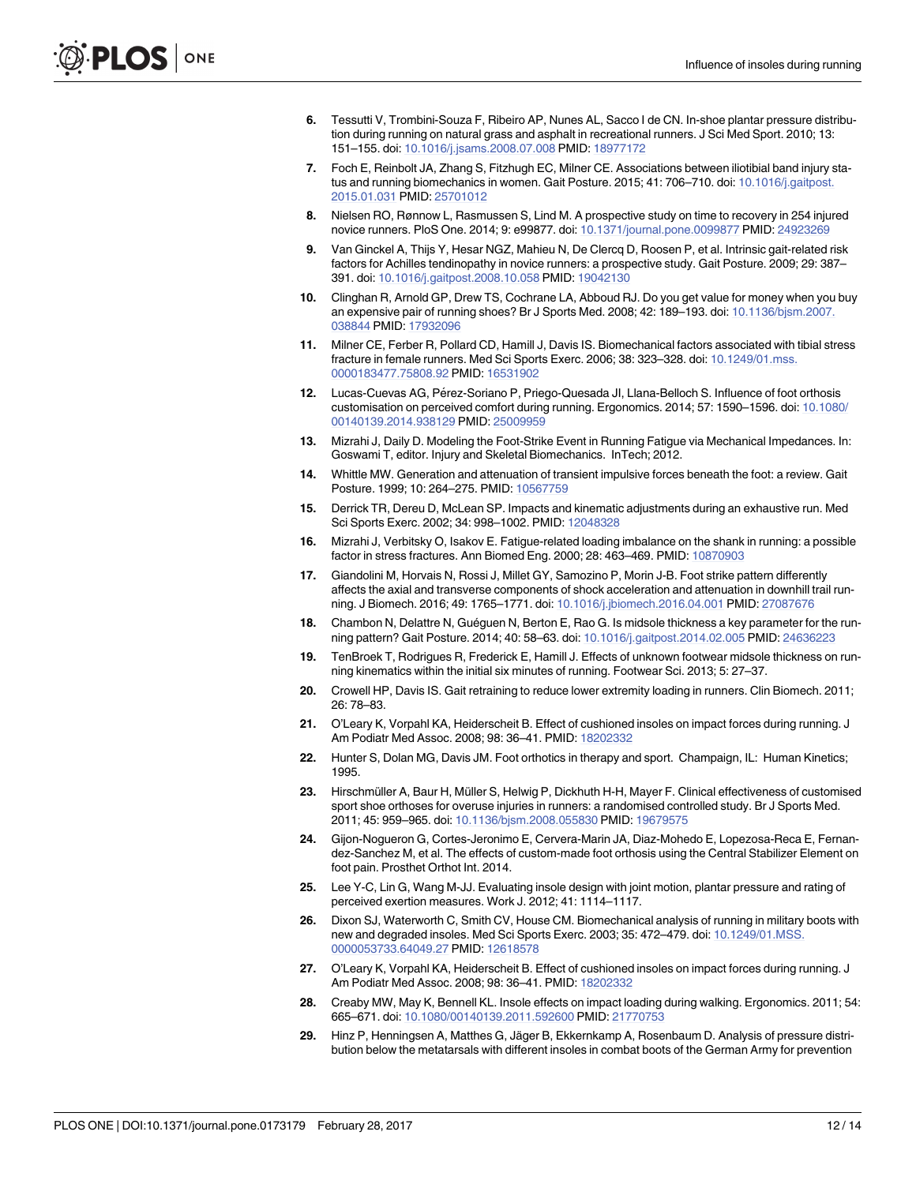- <span id="page-11-0"></span>**[6](#page-1-0).** Tessutti V, Trombini-Souza F, Ribeiro AP, Nunes AL, Sacco I de CN. In-shoe plantar pressure distribution during running on natural grass and asphalt in recreational runners. J Sci Med Sport. 2010; 13: 151–155. doi: [10.1016/j.jsams.2008.07.008](http://dx.doi.org/10.1016/j.jsams.2008.07.008) PMID: [18977172](http://www.ncbi.nlm.nih.gov/pubmed/18977172)
- **7.** Foch E, Reinbolt JA, Zhang S, Fitzhugh EC, Milner CE. Associations between iliotibial band injury status and running biomechanics in women. Gait Posture. 2015; 41: 706–710. doi: [10.1016/j.gaitpost.](http://dx.doi.org/10.1016/j.gaitpost.2015.01.031) [2015.01.031](http://dx.doi.org/10.1016/j.gaitpost.2015.01.031) PMID: [25701012](http://www.ncbi.nlm.nih.gov/pubmed/25701012)
- **8.** Nielsen RO, Rønnow L, Rasmussen S, Lind M. A prospective study on time to recovery in 254 injured novice runners. PloS One. 2014; 9: e99877. doi: [10.1371/journal.pone.0099877](http://dx.doi.org/10.1371/journal.pone.0099877) PMID: [24923269](http://www.ncbi.nlm.nih.gov/pubmed/24923269)
- **[9](#page-1-0).** Van Ginckel A, Thijs Y, Hesar NGZ, Mahieu N, De Clercq D, Roosen P, et al. Intrinsic gait-related risk factors for Achilles tendinopathy in novice runners: a prospective study. Gait Posture. 2009; 29: 387– 391. doi: [10.1016/j.gaitpost.2008.10.058](http://dx.doi.org/10.1016/j.gaitpost.2008.10.058) PMID: [19042130](http://www.ncbi.nlm.nih.gov/pubmed/19042130)
- **[10](#page-1-0).** Clinghan R, Arnold GP, Drew TS, Cochrane LA, Abboud RJ. Do you get value for money when you buy an expensive pair of running shoes? Br J Sports Med. 2008; 42: 189–193. doi: [10.1136/bjsm.2007.](http://dx.doi.org/10.1136/bjsm.2007.038844) [038844](http://dx.doi.org/10.1136/bjsm.2007.038844) PMID: [17932096](http://www.ncbi.nlm.nih.gov/pubmed/17932096)
- **[11](#page-1-0).** Milner CE, Ferber R, Pollard CD, Hamill J, Davis IS. Biomechanical factors associated with tibial stress fracture in female runners. Med Sci Sports Exerc. 2006; 38: 323–328. doi: [10.1249/01.mss.](http://dx.doi.org/10.1249/01.mss.0000183477.75808.92) [0000183477.75808.92](http://dx.doi.org/10.1249/01.mss.0000183477.75808.92) PMID: [16531902](http://www.ncbi.nlm.nih.gov/pubmed/16531902)
- [12](#page-1-0). Lucas-Cuevas AG, Pérez-Soriano P, Priego-Quesada JI, Llana-Belloch S. Influence of foot orthosis customisation on perceived comfort during running. Ergonomics. 2014; 57: 1590–1596. doi: [10.1080/](http://dx.doi.org/10.1080/00140139.2014.938129) [00140139.2014.938129](http://dx.doi.org/10.1080/00140139.2014.938129) PMID: [25009959](http://www.ncbi.nlm.nih.gov/pubmed/25009959)
- **[13](#page-1-0).** Mizrahi J, Daily D. Modeling the Foot-Strike Event in Running Fatigue via Mechanical Impedances. In: Goswami T, editor. Injury and Skeletal Biomechanics. InTech; 2012.
- **[14](#page-1-0).** Whittle MW. Generation and attenuation of transient impulsive forces beneath the foot: a review. Gait Posture. 1999; 10: 264–275. PMID: [10567759](http://www.ncbi.nlm.nih.gov/pubmed/10567759)
- **[15](#page-1-0).** Derrick TR, Dereu D, McLean SP. Impacts and kinematic adjustments during an exhaustive run. Med Sci Sports Exerc. 2002; 34: 998–1002. PMID: [12048328](http://www.ncbi.nlm.nih.gov/pubmed/12048328)
- **[16](#page-1-0).** Mizrahi J, Verbitsky O, Isakov E. Fatigue-related loading imbalance on the shank in running: a possible factor in stress fractures. Ann Biomed Eng. 2000; 28: 463–469. PMID: [10870903](http://www.ncbi.nlm.nih.gov/pubmed/10870903)
- **[17](#page-1-0).** Giandolini M, Horvais N, Rossi J, Millet GY, Samozino P, Morin J-B. Foot strike pattern differently affects the axial and transverse components of shock acceleration and attenuation in downhill trail running. J Biomech. 2016; 49: 1765–1771. doi: [10.1016/j.jbiomech.2016.04.001](http://dx.doi.org/10.1016/j.jbiomech.2016.04.001) PMID: [27087676](http://www.ncbi.nlm.nih.gov/pubmed/27087676)
- **[18](#page-1-0).** Chambon N, Delattre N, Guéguen N, Berton E, Rao G. Is midsole thickness a key parameter for the running pattern? Gait Posture. 2014; 40: 58–63. doi: [10.1016/j.gaitpost.2014.02.005](http://dx.doi.org/10.1016/j.gaitpost.2014.02.005) PMID: [24636223](http://www.ncbi.nlm.nih.gov/pubmed/24636223)
- **[19](#page-1-0).** TenBroek T, Rodrigues R, Frederick E, Hamill J. Effects of unknown footwear midsole thickness on running kinematics within the initial six minutes of running. Footwear Sci. 2013; 5: 27–37.
- **[20](#page-1-0).** Crowell HP, Davis IS. Gait retraining to reduce lower extremity loading in runners. Clin Biomech. 2011; 26: 78–83.
- **[21](#page-1-0).** O'Leary K, Vorpahl KA, Heiderscheit B. Effect of cushioned insoles on impact forces during running. J Am Podiatr Med Assoc. 2008; 98: 36–41. PMID: [18202332](http://www.ncbi.nlm.nih.gov/pubmed/18202332)
- **[22](#page-1-0).** Hunter S, Dolan MG, Davis JM. Foot orthotics in therapy and sport. Champaign, IL: Human Kinetics; 1995.
- **[23](#page-1-0).** Hirschmüller A, Baur H, Müller S, Helwig P, Dickhuth H-H, Mayer F. Clinical effectiveness of customised sport shoe orthoses for overuse injuries in runners: a randomised controlled study. Br J Sports Med. 2011; 45: 959–965. doi: [10.1136/bjsm.2008.055830](http://dx.doi.org/10.1136/bjsm.2008.055830) PMID: [19679575](http://www.ncbi.nlm.nih.gov/pubmed/19679575)
- **[24](#page-1-0).** Gijon-Nogueron G, Cortes-Jeronimo E, Cervera-Marin JA, Diaz-Mohedo E, Lopezosa-Reca E, Fernandez-Sanchez M, et al. The effects of custom-made foot orthosis using the Central Stabilizer Element on foot pain. Prosthet Orthot Int. 2014.
- **[25](#page-1-0).** Lee Y-C, Lin G, Wang M-JJ. Evaluating insole design with joint motion, plantar pressure and rating of perceived exertion measures. Work J. 2012; 41: 1114–1117.
- **[26](#page-1-0).** Dixon SJ, Waterworth C, Smith CV, House CM. Biomechanical analysis of running in military boots with new and degraded insoles. Med Sci Sports Exerc. 2003; 35: 472–479. doi: [10.1249/01.MSS.](http://dx.doi.org/10.1249/01.MSS.0000053733.64049.27) [0000053733.64049.27](http://dx.doi.org/10.1249/01.MSS.0000053733.64049.27) PMID: [12618578](http://www.ncbi.nlm.nih.gov/pubmed/12618578)
- **[27](#page-1-0).** O'Leary K, Vorpahl KA, Heiderscheit B. Effect of cushioned insoles on impact forces during running. J Am Podiatr Med Assoc. 2008; 98: 36–41. PMID: [18202332](http://www.ncbi.nlm.nih.gov/pubmed/18202332)
- **[28](#page-1-0).** Creaby MW, May K, Bennell KL. Insole effects on impact loading during walking. Ergonomics. 2011; 54: 665–671. doi: [10.1080/00140139.2011.592600](http://dx.doi.org/10.1080/00140139.2011.592600) PMID: [21770753](http://www.ncbi.nlm.nih.gov/pubmed/21770753)
- **[29](#page-1-0).** Hinz P, Henningsen A, Matthes G, Jäger B, Ekkernkamp A, Rosenbaum D. Analysis of pressure distribution below the metatarsals with different insoles in combat boots of the German Army for prevention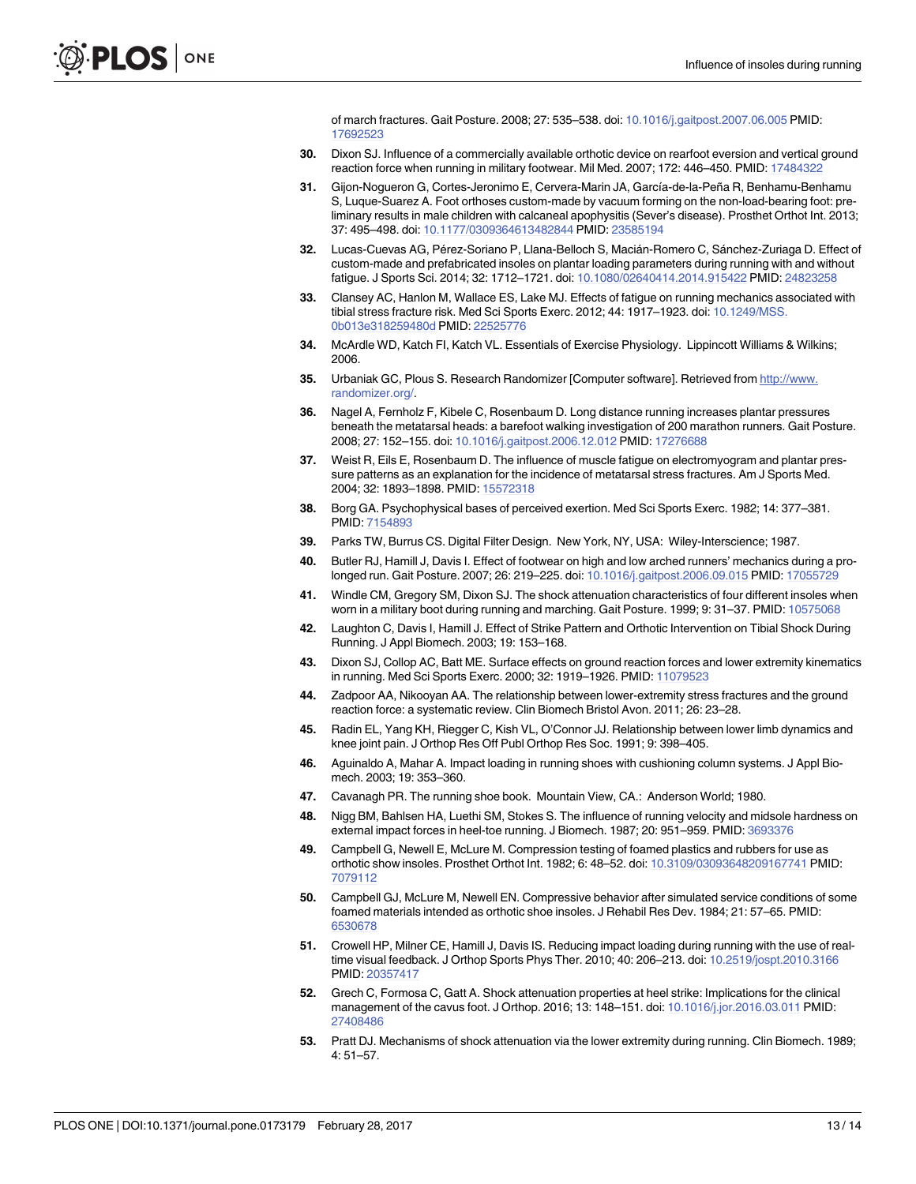of march fractures. Gait Posture. 2008; 27: 535–538. doi: [10.1016/j.gaitpost.2007.06.005](http://dx.doi.org/10.1016/j.gaitpost.2007.06.005) PMID: [17692523](http://www.ncbi.nlm.nih.gov/pubmed/17692523)

- <span id="page-12-0"></span>**[30](#page-1-0).** Dixon SJ. Influence of a commercially available orthotic device on rearfoot eversion and vertical ground reaction force when running in military footwear. Mil Med. 2007; 172: 446–450. PMID: [17484322](http://www.ncbi.nlm.nih.gov/pubmed/17484322)
- [31](#page-1-0). Gijon-Nogueron G, Cortes-Jeronimo E, Cervera-Marin JA, García-de-la-Peña R, Benhamu-Benhamu S, Luque-Suarez A. Foot orthoses custom-made by vacuum forming on the non-load-bearing foot: preliminary results in male children with calcaneal apophysitis (Sever's disease). Prosthet Orthot Int. 2013; 37: 495–498. doi: [10.1177/0309364613482844](http://dx.doi.org/10.1177/0309364613482844) PMID: [23585194](http://www.ncbi.nlm.nih.gov/pubmed/23585194)
- **[32](#page-2-0).** Lucas-Cuevas AG, Pérez-Soriano P, Llana-Belloch S, Macián-Romero C, Sánchez-Zuriaga D. Effect of custom-made and prefabricated insoles on plantar loading parameters during running with and without fatigue. J Sports Sci. 2014; 32: 1712–1721. doi: [10.1080/02640414.2014.915422](http://dx.doi.org/10.1080/02640414.2014.915422) PMID: [24823258](http://www.ncbi.nlm.nih.gov/pubmed/24823258)
- **[33](#page-2-0).** Clansey AC, Hanlon M, Wallace ES, Lake MJ. Effects of fatigue on running mechanics associated with tibial stress fracture risk. Med Sci Sports Exerc. 2012; 44: 1917–1923. doi: [10.1249/MSS.](http://dx.doi.org/10.1249/MSS.0b013e318259480d) [0b013e318259480d](http://dx.doi.org/10.1249/MSS.0b013e318259480d) PMID: [22525776](http://www.ncbi.nlm.nih.gov/pubmed/22525776)
- **[34](#page-2-0).** McArdle WD, Katch FI, Katch VL. Essentials of Exercise Physiology. Lippincott Williams & Wilkins; 2006.
- **[35](#page-3-0).** Urbaniak GC, Plous S. Research Randomizer [Computer software]. Retrieved from [http://www.](http://www.randomizer.org/) [randomizer.org/.](http://www.randomizer.org/)
- **[36](#page-4-0).** Nagel A, Fernholz F, Kibele C, Rosenbaum D. Long distance running increases plantar pressures beneath the metatarsal heads: a barefoot walking investigation of 200 marathon runners. Gait Posture. 2008; 27: 152–155. doi: [10.1016/j.gaitpost.2006.12.012](http://dx.doi.org/10.1016/j.gaitpost.2006.12.012) PMID: [17276688](http://www.ncbi.nlm.nih.gov/pubmed/17276688)
- **[37](#page-4-0).** Weist R, Eils E, Rosenbaum D. The influence of muscle fatigue on electromyogram and plantar pressure patterns as an explanation for the incidence of metatarsal stress fractures. Am J Sports Med. 2004; 32: 1893–1898. PMID: [15572318](http://www.ncbi.nlm.nih.gov/pubmed/15572318)
- **[38](#page-4-0).** Borg GA. Psychophysical bases of perceived exertion. Med Sci Sports Exerc. 1982; 14: 377–381. PMID: [7154893](http://www.ncbi.nlm.nih.gov/pubmed/7154893)
- **[39](#page-4-0).** Parks TW, Burrus CS. Digital Filter Design. New York, NY, USA: Wiley-Interscience; 1987.
- **[40](#page-7-0).** Butler RJ, Hamill J, Davis I. Effect of footwear on high and low arched runners' mechanics during a prolonged run. Gait Posture. 2007; 26: 219–225. doi: [10.1016/j.gaitpost.2006.09.015](http://dx.doi.org/10.1016/j.gaitpost.2006.09.015) PMID: [17055729](http://www.ncbi.nlm.nih.gov/pubmed/17055729)
- **[41](#page-7-0).** Windle CM, Gregory SM, Dixon SJ. The shock attenuation characteristics of four different insoles when worn in a military boot during running and marching. Gait Posture. 1999; 9: 31–37. PMID: [10575068](http://www.ncbi.nlm.nih.gov/pubmed/10575068)
- **[42](#page-7-0).** Laughton C, Davis I, Hamill J. Effect of Strike Pattern and Orthotic Intervention on Tibial Shock During Running. J Appl Biomech. 2003; 19: 153–168.
- **[43](#page-7-0).** Dixon SJ, Collop AC, Batt ME. Surface effects on ground reaction forces and lower extremity kinematics in running. Med Sci Sports Exerc. 2000; 32: 1919–1926. PMID: [11079523](http://www.ncbi.nlm.nih.gov/pubmed/11079523)
- **[44](#page-7-0).** Zadpoor AA, Nikooyan AA. The relationship between lower-extremity stress fractures and the ground reaction force: a systematic review. Clin Biomech Bristol Avon. 2011; 26: 23–28.
- **[45](#page-8-0).** Radin EL, Yang KH, Riegger C, Kish VL, O'Connor JJ. Relationship between lower limb dynamics and knee joint pain. J Orthop Res Off Publ Orthop Res Soc. 1991; 9: 398–405.
- **[46](#page-8-0).** Aguinaldo A, Mahar A. Impact loading in running shoes with cushioning column systems. J Appl Biomech. 2003; 19: 353–360.
- **[47](#page-8-0).** Cavanagh PR. The running shoe book. Mountain View, CA.: Anderson World; 1980.
- **48.** Nigg BM, Bahlsen HA, Luethi SM, Stokes S. The influence of running velocity and midsole hardness on external impact forces in heel-toe running. J Biomech. 1987; 20: 951–959. PMID: [3693376](http://www.ncbi.nlm.nih.gov/pubmed/3693376)
- **49.** Campbell G, Newell E, McLure M. Compression testing of foamed plastics and rubbers for use as orthotic show insoles. Prosthet Orthot Int. 1982; 6: 48–52. doi: [10.3109/03093648209167741](http://dx.doi.org/10.3109/03093648209167741) PMID: [7079112](http://www.ncbi.nlm.nih.gov/pubmed/7079112)
- **[50](#page-8-0).** Campbell GJ, McLure M, Newell EN. Compressive behavior after simulated service conditions of some foamed materials intended as orthotic shoe insoles. J Rehabil Res Dev. 1984; 21: 57–65. PMID: [6530678](http://www.ncbi.nlm.nih.gov/pubmed/6530678)
- **[51](#page-8-0).** Crowell HP, Milner CE, Hamill J, Davis IS. Reducing impact loading during running with the use of realtime visual feedback. J Orthop Sports Phys Ther. 2010; 40: 206–213. doi: [10.2519/jospt.2010.3166](http://dx.doi.org/10.2519/jospt.2010.3166) PMID: [20357417](http://www.ncbi.nlm.nih.gov/pubmed/20357417)
- **[52](#page-8-0).** Grech C, Formosa C, Gatt A. Shock attenuation properties at heel strike: Implications for the clinical management of the cavus foot. J Orthop. 2016; 13: 148–151. doi: [10.1016/j.jor.2016.03.011](http://dx.doi.org/10.1016/j.jor.2016.03.011) PMID: [27408486](http://www.ncbi.nlm.nih.gov/pubmed/27408486)
- **[53](#page-8-0).** Pratt DJ. Mechanisms of shock attenuation via the lower extremity during running. Clin Biomech. 1989; 4: 51–57.